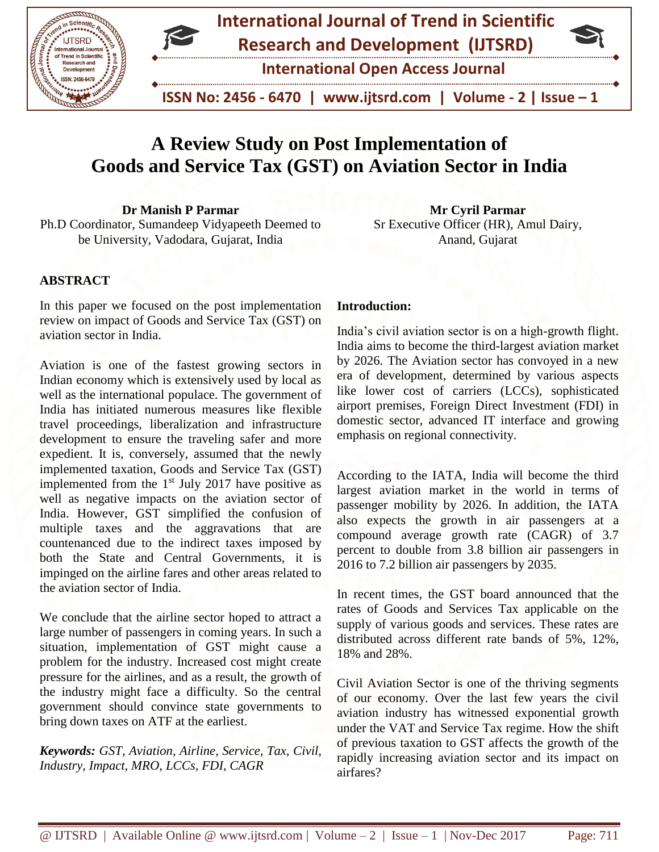



 **ISSN No: 2456 - 6470 | www.ijtsrd.com | Volume - 2 | Issue – 1**

# **A Review Study on Post Implementation of Goods and Service Tax (GST) on Aviation Sector in India**

**Dr Manish P Parmar** Ph.D Coordinator, Sumandeep Vidyapeeth Deemed to be University, Vadodara, Gujarat, India

## **ABSTRACT**

In this paper we focused on the post implementation review on impact of Goods and Service Tax (GST) on aviation sector in India.

Aviation is one of the fastest growing sectors in Indian economy which is extensively used by local as well as the international populace. The government of India has initiated numerous measures like flexible travel proceedings, liberalization and infrastructure development to ensure the traveling safer and more expedient. It is, conversely, assumed that the newly implemented taxation, Goods and Service Tax (GST) implemented from the  $1<sup>st</sup>$  July 2017 have positive as well as negative impacts on the aviation sector of India. However, GST simplified the confusion of multiple taxes and the aggravations that are countenanced due to the indirect taxes imposed by both the State and Central Governments, it is impinged on the airline fares and other areas related to the aviation sector of India.

We conclude that the airline sector hoped to attract a large number of passengers in coming years. In such a situation, implementation of GST might cause a problem for the industry. Increased cost might create pressure for the airlines, and as a result, the growth of the industry might face a difficulty. So the central government should convince state governments to bring down taxes on ATF at the earliest.

*Keywords: GST, Aviation, Airline, Service, Tax, Civil, Industry, Impact, MRO, LCCs, FDI, CAGR*

**Mr Cyril Parmar** Sr Executive Officer (HR), Amul Dairy, Anand, Gujarat

#### **Introduction:**

India's civil aviation sector is on a high-growth flight. India aims to become the third-largest aviation market by 2026. The Aviation sector has convoyed in a new era of development, determined by various aspects like lower cost of carriers (LCCs), sophisticated airport premises, Foreign Direct Investment (FDI) in domestic sector, advanced IT interface and growing emphasis on regional connectivity.

According to the IATA, India will become the third largest aviation market in the world in terms of passenger mobility by 2026. In addition, the IATA also expects the growth in air passengers at a compound average growth rate (CAGR) of 3.7 percent to double from 3.8 billion air passengers in 2016 to 7.2 billion air passengers by 2035.

In recent times, the GST board announced that the rates of Goods and Services Tax applicable on the supply of various goods and services. These rates are distributed across different rate bands of 5%, 12%, 18% and 28%.

Civil Aviation Sector is one of the thriving segments of our economy. Over the last few years the civil aviation industry has witnessed exponential growth under the VAT and Service Tax regime. How the shift of previous taxation to GST affects the growth of the rapidly increasing aviation sector and its impact on airfares?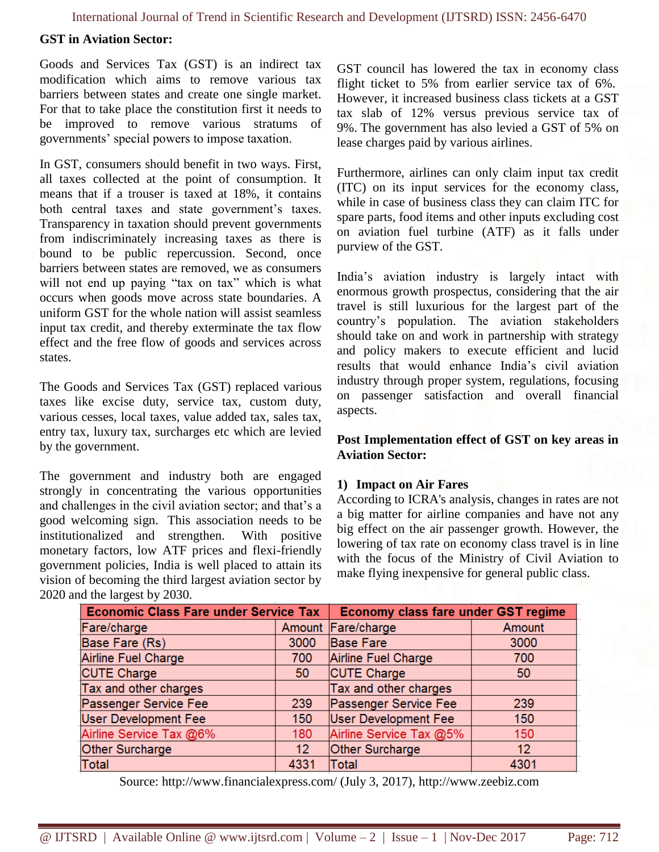#### **GST in Aviation Sector:**

Goods and Services Tax (GST) is an indirect tax modification which aims to remove various tax barriers between states and create one single market. For that to take place the constitution first it needs to be improved to remove various stratums of governments' special powers to impose taxation.

In GST, consumers should benefit in two ways. First, all taxes collected at the point of consumption. It means that if a trouser is taxed at 18%, it contains both central taxes and state government's taxes. Transparency in taxation should prevent governments from indiscriminately increasing taxes as there is bound to be public repercussion. Second, once barriers between states are removed, we as consumers will not end up paying "tax on tax" which is what occurs when goods move across state boundaries. A uniform GST for the whole nation will assist seamless input tax credit, and thereby exterminate the tax flow effect and the free flow of goods and services across states.

The Goods and Services Tax (GST) replaced various taxes like excise duty, service tax, custom duty, various cesses, local taxes, value added tax, sales tax, entry tax, luxury tax, surcharges etc which are levied by the government.

The government and industry both are engaged strongly in concentrating the various opportunities and challenges in the civil aviation sector; and that's a good welcoming sign. This association needs to be institutionalized and strengthen. With positive monetary factors, low ATF prices and flexi-friendly government policies, India is well placed to attain its vision of becoming the third largest aviation sector by 2020 and the largest by 2030.

GST council has lowered the tax in economy class flight ticket to 5% from earlier service tax of 6%. However, it increased business class tickets at a GST tax slab of 12% versus previous service tax of 9%. The government has also levied a GST of 5% on lease charges paid by various airlines.

Furthermore, airlines can only claim input tax credit (ITC) on its input services for the economy class, while in case of business class they can claim ITC for spare parts, food items and other inputs excluding cost on aviation fuel turbine (ATF) as it falls under purview of the GST.

India's aviation industry is largely intact with enormous growth prospectus, considering that the air travel is still luxurious for the largest part of the country's population. The aviation stakeholders should take on and work in partnership with strategy and policy makers to execute efficient and lucid results that would enhance India's civil aviation industry through proper system, regulations, focusing on passenger satisfaction and overall financial aspects.

#### **Post Implementation effect of GST on key areas in Aviation Sector:**

#### **1) Impact on Air Fares**

According to ICRA's analysis, changes in rates are not a big matter for airline companies and have not any big effect on the air passenger growth. However, the lowering of tax rate on economy class travel is in line with the focus of the Ministry of Civil Aviation to make flying inexpensive for general public class.

| <b>Economic Class Fare under Service Tax</b> |                 | <b>Economy class fare under GST regime</b> |        |
|----------------------------------------------|-----------------|--------------------------------------------|--------|
| Fare/charge                                  |                 | Amount Fare/charge                         | Amount |
| Base Fare (Rs)                               | 3000            | <b>Base Fare</b>                           | 3000   |
| Airline Fuel Charge                          | 700             | Airline Fuel Charge                        | 700    |
| <b>CUTE Charge</b>                           | 50              | CUTE Charge                                | 50     |
| Tax and other charges                        |                 | Tax and other charges                      |        |
| Passenger Service Fee                        | 239             | Passenger Service Fee                      | 239    |
| <b>User Development Fee</b>                  | 150             | <b>User Development Fee</b>                | 150    |
| Airline Service Tax @6%                      | 180             | Airline Service Tax @5%                    | 150    |
| Other Surcharge                              | 12 <sup>°</sup> | Other Surcharge                            | 12     |
| Total                                        | 4331            | <b>Total</b>                               | 4301   |

Source: http://www.financialexpress.com/ (July 3, 2017), http://www.zeebiz.com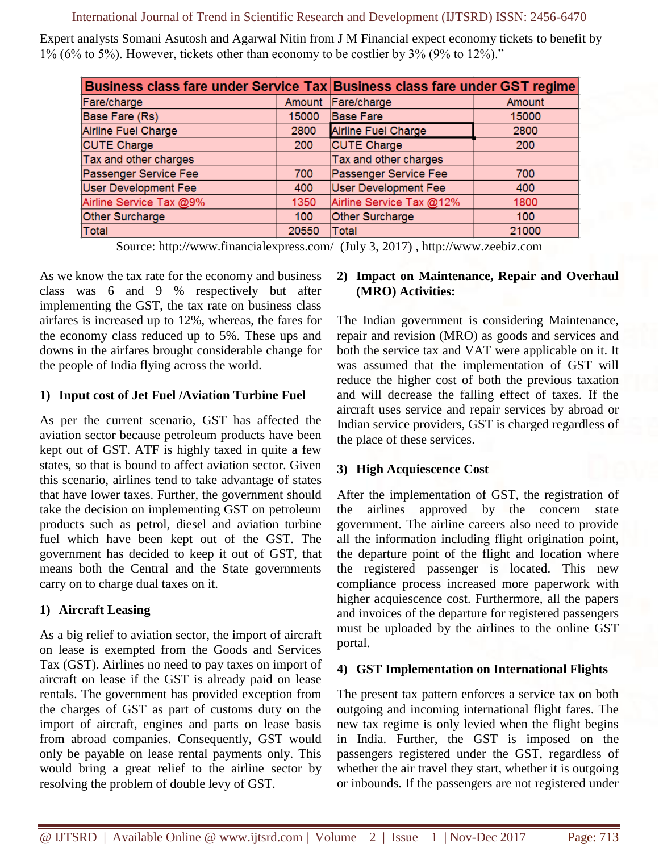International Journal of Trend in Scientific Research and Development (IJTSRD) ISSN: 2456-6470

Expert analysts Somani Asutosh and Agarwal Nitin from J M Financial expect economy tickets to benefit by 1% (6% to 5%). However, tickets other than economy to be costlier by 3% (9% to 12%)."

| Business class fare under Service Tax Business class fare under GST regime |        |                          |        |
|----------------------------------------------------------------------------|--------|--------------------------|--------|
| Fare/charge                                                                | Amount | Fare/charge              | Amount |
| Base Fare (Rs)                                                             | 15000  | <b>Base Fare</b>         | 15000  |
| Airline Fuel Charge                                                        | 2800   | Airline Fuel Charge      | 2800   |
| <b>CUTE Charge</b>                                                         | 200    | <b>CUTE Charge</b>       | 200    |
| Tax and other charges                                                      |        | Tax and other charges    |        |
| Passenger Service Fee                                                      | 700    | Passenger Service Fee    | 700    |
| <b>User Development Fee</b>                                                | 400    | User Development Fee     | 400    |
| Airline Service Tax @9%                                                    | 1350   | Airline Service Tax @12% | 1800   |
| Other Surcharge                                                            | 100    | Other Surcharge          | 100    |
| <b>Total</b>                                                               | 20550  | <b>Total</b>             | 21000  |

Source: http://www.financialexpress.com/ (July 3, 2017) , http://www.zeebiz.com

As we know the tax rate for the economy and business class was 6 and 9 % respectively but after implementing the GST, the tax rate on business class airfares is increased up to 12%, whereas, the fares for the economy class reduced up to 5%. These ups and downs in the airfares brought considerable change for the people of India flying across the world.

#### **1) Input cost of Jet Fuel /Aviation Turbine Fuel**

As per the current scenario, GST has affected the aviation sector because petroleum products have been kept out of GST. ATF is highly taxed in quite a few states, so that is bound to affect aviation sector. Given this scenario, airlines tend to take advantage of states that have lower taxes. Further, the government should take the decision on implementing GST on petroleum products such as petrol, diesel and aviation turbine fuel which have been kept out of the GST. The government has decided to keep it out of GST, that means both the Central and the State governments carry on to charge dual taxes on it.

# **1) Aircraft Leasing**

As a big relief to aviation sector, the import of aircraft on lease is exempted from the Goods and Services Tax (GST). Airlines no need to pay taxes on import of aircraft on lease if the GST is already paid on lease rentals. The government has provided exception from the charges of GST as part of customs duty on the import of aircraft, engines and parts on lease basis from abroad companies. Consequently, GST would only be payable on lease rental payments only. This would bring a great relief to the airline sector by resolving the problem of double levy of GST.

#### **2) Impact on Maintenance, Repair and Overhaul (MRO) Activities:**

The Indian government is considering Maintenance, repair and revision (MRO) as goods and services and both the service tax and VAT were applicable on it. It was assumed that the implementation of GST will reduce the higher cost of both the previous taxation and will decrease the falling effect of taxes. If the aircraft uses service and repair services by abroad or Indian service providers, GST is charged regardless of the place of these services.

## **3) High Acquiescence Cost**

After the implementation of GST, the registration of the airlines approved by the concern state government. The airline careers also need to provide all the information including flight origination point, the departure point of the flight and location where the registered passenger is located. This new compliance process increased more paperwork with higher acquiescence cost. Furthermore, all the papers and invoices of the departure for registered passengers must be uploaded by the airlines to the online GST portal.

# **4) GST Implementation on International Flights**

The present tax pattern enforces a service tax on both outgoing and incoming international flight fares. The new tax regime is only levied when the flight begins in India. Further, the GST is imposed on the passengers registered under the GST, regardless of whether the air travel they start, whether it is outgoing or inbounds. If the passengers are not registered under